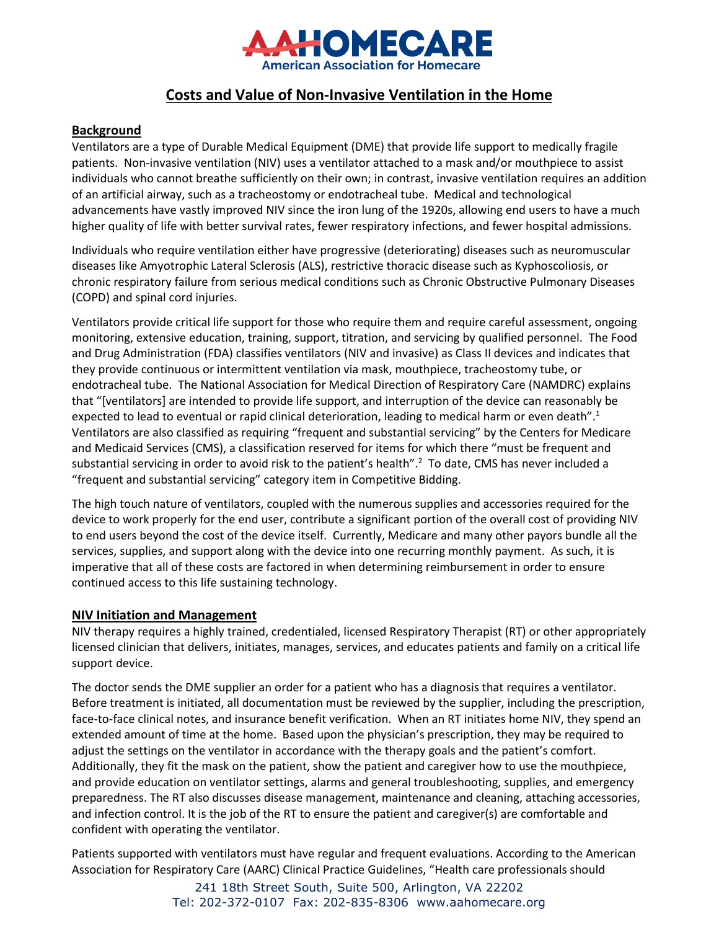

# **Costs and Value of Non-Invasive Ventilation in the Home**

# **Background**

Ventilators are a type of Durable Medical Equipment (DME) that provide life support to medically fragile patients. Non-invasive ventilation (NIV) uses a ventilator attached to a mask and/or mouthpiece to assist individuals who cannot breathe sufficiently on their own; in contrast, invasive ventilation requires an addition of an artificial airway, such as a tracheostomy or endotracheal tube. Medical and technological advancements have vastly improved NIV since the iron lung of the 1920s, allowing end users to have a much higher quality of life with better survival rates, fewer respiratory infections, and fewer hospital admissions.

Individuals who require ventilation either have progressive (deteriorating) diseases such as neuromuscular diseases like Amyotrophic Lateral Sclerosis (ALS), restrictive thoracic disease such as Kyphoscoliosis, or chronic respiratory failure from serious medical conditions such as Chronic Obstructive Pulmonary Diseases (COPD) and spinal cord injuries.

Ventilators provide critical life support for those who require them and require careful assessment, ongoing monitoring, extensive education, training, support, titration, and servicing by qualified personnel. The Food and Drug Administration (FDA) classifies ventilators (NIV and invasive) as Class II devices and indicates that they provide continuous or intermittent ventilation via mask, mouthpiece, tracheostomy tube, or endotracheal tube. The National Association for Medical Direction of Respiratory Care (NAMDRC) explains that "[ventilators] are intended to provide life support, and interruption of the device can reasonably be expected to lead to eventual or rapid clinical deterioration, leading to medical harm or even death".<sup>1</sup> Ventilators are also classified as requiring "frequent and substantial servicing" by the Centers for Medicare and Medicaid Services (CMS), a classification reserved for items for which there "must be frequent and substantial servicing in order to avoid risk to the patient's health".<sup>2</sup> To date, CMS has never included a "frequent and substantial servicing" category item in Competitive Bidding.

The high touch nature of ventilators, coupled with the numerous supplies and accessories required for the device to work properly for the end user, contribute a significant portion of the overall cost of providing NIV to end users beyond the cost of the device itself. Currently, Medicare and many other payors bundle all the services, supplies, and support along with the device into one recurring monthly payment. As such, it is imperative that all of these costs are factored in when determining reimbursement in order to ensure continued access to this life sustaining technology.

## **NIV Initiation and Management**

NIV therapy requires a highly trained, credentialed, licensed Respiratory Therapist (RT) or other appropriately licensed clinician that delivers, initiates, manages, services, and educates patients and family on a critical life support device.

The doctor sends the DME supplier an order for a patient who has a diagnosis that requires a ventilator. Before treatment is initiated, all documentation must be reviewed by the supplier, including the prescription, face-to-face clinical notes, and insurance benefit verification. When an RT initiates home NIV, they spend an extended amount of time at the home. Based upon the physician's prescription, they may be required to adjust the settings on the ventilator in accordance with the therapy goals and the patient's comfort. Additionally, they fit the mask on the patient, show the patient and caregiver how to use the mouthpiece, and provide education on ventilator settings, alarms and general troubleshooting, supplies, and emergency preparedness. The RT also discusses disease management, maintenance and cleaning, attaching accessories, and infection control. It is the job of the RT to ensure the patient and caregiver(s) are comfortable and confident with operating the ventilator.

Patients supported with ventilators must have regular and frequent evaluations. According to the American Association for Respiratory Care (AARC) Clinical Practice Guidelines, "Health care professionals should

> 241 18th Street South, Suite 500, Arlington, VA 22202 Tel: 202-372-0107 Fax: 202-835-8306 www.aahomecare.org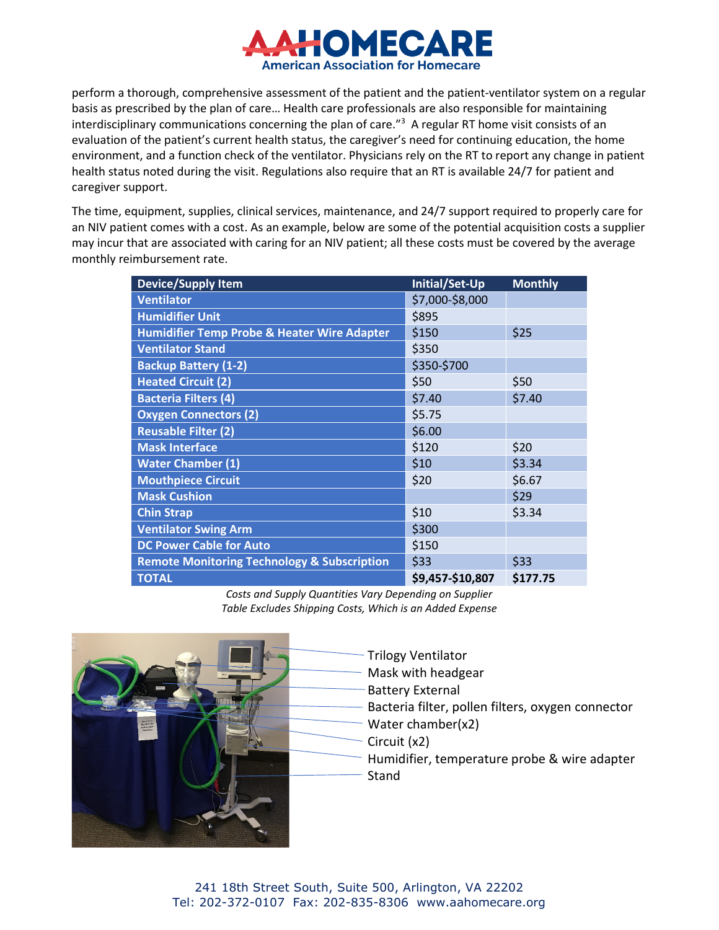

perform a thorough, comprehensive assessment of the patient and the patient-ventilator system on a regular basis as prescribed by the plan of care… Health care professionals are also responsible for maintaining interdisciplinary communications concerning the plan of care."3 A regular RT home visit consists of an evaluation of the patient's current health status, the caregiver's need for continuing education, the home environment, and a function check of the ventilator. Physicians rely on the RT to report any change in patient health status noted during the visit. Regulations also require that an RT is available 24/7 for patient and caregiver support.

The time, equipment, supplies, clinical services, maintenance, and 24/7 support required to properly care for an NIV patient comes with a cost. As an example, below are some of the potential acquisition costs a supplier may incur that are associated with caring for an NIV patient; all these costs must be covered by the average monthly reimbursement rate.

| <b>Device/Supply Item</b>                              | Initial/Set-Up   | <b>Monthly</b> |
|--------------------------------------------------------|------------------|----------------|
| <b>Ventilator</b>                                      | \$7,000-\$8,000  |                |
| <b>Humidifier Unit</b>                                 | \$895            |                |
| <b>Humidifier Temp Probe &amp; Heater Wire Adapter</b> | \$150            | \$25           |
| <b>Ventilator Stand</b>                                | \$350            |                |
| <b>Backup Battery (1-2)</b>                            | \$350-\$700      |                |
| <b>Heated Circuit (2)</b>                              | \$50             | \$50           |
| <b>Bacteria Filters (4)</b>                            | \$7.40           | \$7.40         |
| <b>Oxygen Connectors (2)</b>                           | \$5.75           |                |
| <b>Reusable Filter (2)</b>                             | \$6.00           |                |
| <b>Mask Interface</b>                                  | \$120            | \$20           |
| <b>Water Chamber (1)</b>                               | \$10             | \$3.34         |
| <b>Mouthpiece Circuit</b>                              | \$20             | \$6.67         |
| <b>Mask Cushion</b>                                    |                  | \$29           |
| <b>Chin Strap</b>                                      | \$10             | \$3.34         |
| <b>Ventilator Swing Arm</b>                            | \$300            |                |
| <b>DC Power Cable for Auto</b>                         | \$150            |                |
| <b>Remote Monitoring Technology &amp; Subscription</b> | \$33             | \$33           |
| <b>TOTAL</b>                                           | \$9,457-\$10,807 | \$177.75       |

*Costs and Supply Quantities Vary Depending on Supplier Table Excludes Shipping Costs, Which is an Added Expense*



- Trilogy Ventilator Mask with headgear Battery External Bacteria filter, pollen filters, oxygen connector Water chamber(x2) Circuit (x2) Humidifier, temperature probe & wire adapter
	- **Stand**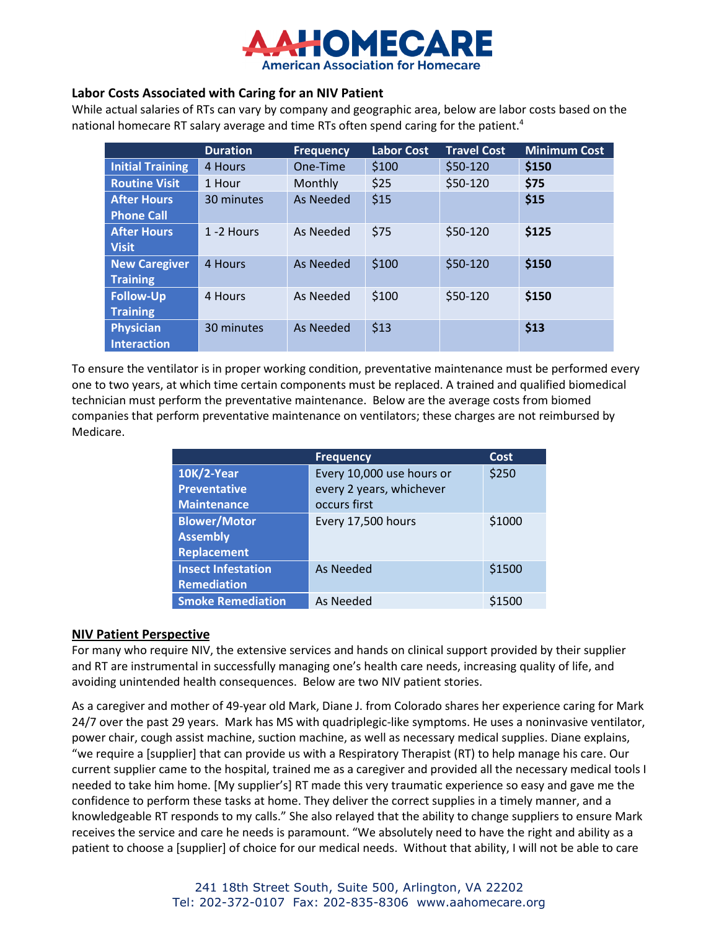

# **Labor Costs Associated with Caring for an NIV Patient**

While actual salaries of RTs can vary by company and geographic area, below are labor costs based on the national homecare RT salary average and time RTs often spend caring for the patient.<sup>4</sup>

|                         | <b>Duration</b> | <b>Frequency</b> | <b>Labor Cost</b> | <b>Travel Cost</b> | <b>Minimum Cost</b> |
|-------------------------|-----------------|------------------|-------------------|--------------------|---------------------|
| <b>Initial Training</b> | 4 Hours         | One-Time         | \$100             | \$50-120           | \$150               |
| <b>Routine Visit</b>    | 1 Hour          | Monthly          | \$25              | \$50-120           | \$75                |
| <b>After Hours</b>      | 30 minutes      | As Needed        | \$15              |                    | \$15                |
| <b>Phone Call</b>       |                 |                  |                   |                    |                     |
| <b>After Hours</b>      | 1 -2 Hours      | As Needed        | \$75              | \$50-120           | \$125               |
| <b>Visit</b>            |                 |                  |                   |                    |                     |
| <b>New Caregiver</b>    | 4 Hours         | As Needed        | \$100             | \$50-120           | \$150               |
| <b>Training</b>         |                 |                  |                   |                    |                     |
| <b>Follow-Up</b>        | 4 Hours         | As Needed        | \$100             | \$50-120           | \$150               |
| <b>Training</b>         |                 |                  |                   |                    |                     |
| <b>Physician</b>        | 30 minutes      | As Needed        | \$13              |                    | \$13                |
| <b>Interaction</b>      |                 |                  |                   |                    |                     |

To ensure the ventilator is in proper working condition, preventative maintenance must be performed every one to two years, at which time certain components must be replaced. A trained and qualified biomedical technician must perform the preventative maintenance. Below are the average costs from biomed companies that perform preventative maintenance on ventilators; these charges are not reimbursed by Medicare.

|                           | <b>Frequency</b>          | Cost   |
|---------------------------|---------------------------|--------|
| 10K/2-Year                | Every 10,000 use hours or | \$250  |
| <b>Preventative</b>       | every 2 years, whichever  |        |
| <b>Maintenance</b>        | occurs first              |        |
| <b>Blower/Motor</b>       | Every 17,500 hours        | \$1000 |
| <b>Assembly</b>           |                           |        |
| <b>Replacement</b>        |                           |        |
| <b>Insect Infestation</b> | As Needed                 | \$1500 |
| <b>Remediation</b>        |                           |        |
| <b>Smoke Remediation</b>  | As Needed                 | \$1500 |

## **NIV Patient Perspective**

For many who require NIV, the extensive services and hands on clinical support provided by their supplier and RT are instrumental in successfully managing one's health care needs, increasing quality of life, and avoiding unintended health consequences. Below are two NIV patient stories.

As a caregiver and mother of 49-year old Mark, Diane J. from Colorado shares her experience caring for Mark 24/7 over the past 29 years. Mark has MS with quadriplegic-like symptoms. He uses a noninvasive ventilator, power chair, cough assist machine, suction machine, as well as necessary medical supplies. Diane explains, "we require a [supplier] that can provide us with a Respiratory Therapist (RT) to help manage his care. Our current supplier came to the hospital, trained me as a caregiver and provided all the necessary medical tools I needed to take him home. [My supplier's] RT made this very traumatic experience so easy and gave me the confidence to perform these tasks at home. They deliver the correct supplies in a timely manner, and a knowledgeable RT responds to my calls." She also relayed that the ability to change suppliers to ensure Mark receives the service and care he needs is paramount. "We absolutely need to have the right and ability as a patient to choose a [supplier] of choice for our medical needs. Without that ability, I will not be able to care